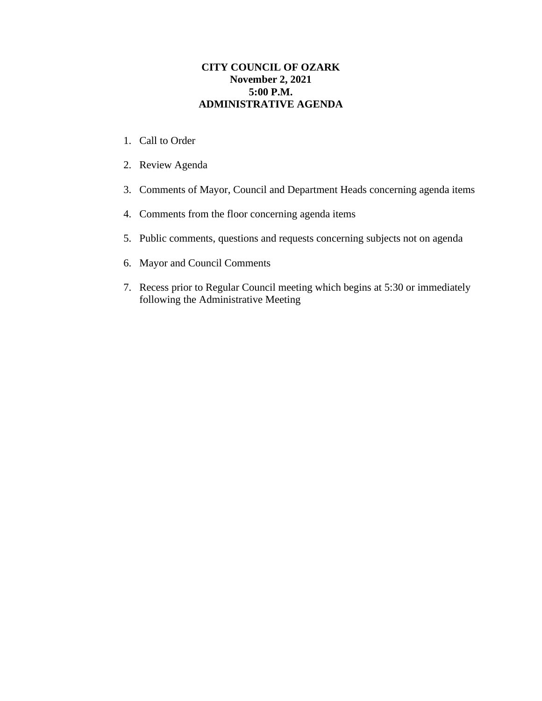## **CITY COUNCIL OF OZARK November 2, 2021 5:00 P.M. ADMINISTRATIVE AGENDA**

- 1. Call to Order
- 2. Review Agenda
- 3. Comments of Mayor, Council and Department Heads concerning agenda items
- 4. Comments from the floor concerning agenda items
- 5. Public comments, questions and requests concerning subjects not on agenda
- 6. Mayor and Council Comments
- 7. Recess prior to Regular Council meeting which begins at 5:30 or immediately following the Administrative Meeting